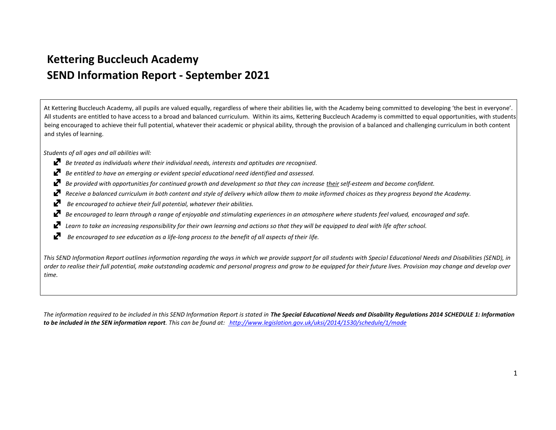## **Kettering Buccleuch Academy SEND Information Report ‐ September 2021**

At Kettering Buccleuch Academy, all pupils are valued equally, regardless of where their abilities lie, with the Academy being committed to developing 'the best in everyone'. All students are entitled to have access to a broad and balanced curriculum. Within its aims, Kettering Buccleuch Academy is committed to equal opportunities, with students being encouraged to achieve their full potential, whatever their academic or physical ability, through the provision of a balanced and challenging curriculum in both content and styles of learning.

*Students of all ages and all abilities will:*

- *Be treated as individuals where their individual needs, interests and aptitudes are recognised.*
- ₽ *Be entitled to have an emerging or evident special educational need identified and assessed.*
- *Be provided with opportunities for continued growth and development so that they can increase their self‐esteem and become confident.* ₽
- ₽ *Receive a balanced curriculum in both content and style of delivery which allow them to make informed choices as they progress beyond the Academy.*
- ₽ *Be encouraged to achieve their full potential, whatever their abilities.*
- *Be encouraged to learn through a range of enjoyable and stimulating experiences in an atmosphere where students feel valued, encouraged and safe.*  Ŋ
- ₽ Learn to take an increasing responsibility for their own learning and actions so that they will be equipped to deal with life after school.
- ₽ *Be encouraged to see education as a life‐long process to the benefit of all aspects of their life.*

This SEND Information Report outlines information regarding the ways in which we provide support for all students with Special Educational Needs and Disabilities (SEND), in *order to realise their full potential, make outstanding academic and personal progress and grow to be equipped for their future lives. Provision may change and develop over time.*

The information required to be included in this SEND Information Report is stated in The Special Educational Needs and Disability Regulations 2014 SCHEDULE 1: Information *to be included in the SEN information report. This can be found at: http://www.legislation.gov.uk/uksi/2014/1530/schedule/1/made*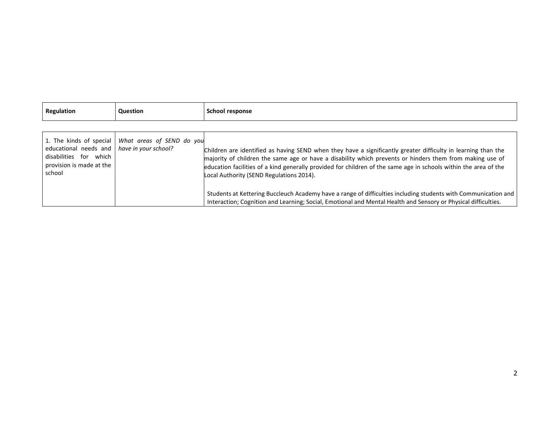| Regulation                                                                                                   | <b>Question</b>                                     | School response                                                                                                                                                                                                                                                                                                                                                                           |
|--------------------------------------------------------------------------------------------------------------|-----------------------------------------------------|-------------------------------------------------------------------------------------------------------------------------------------------------------------------------------------------------------------------------------------------------------------------------------------------------------------------------------------------------------------------------------------------|
|                                                                                                              |                                                     |                                                                                                                                                                                                                                                                                                                                                                                           |
| educational needs and   have in your school?<br>disabilities for which<br>provision is made at the<br>school | 1. The kinds of special   What areas of SEND do you | Children are identified as having SEND when they have a significantly greater difficulty in learning than the<br>majority of children the same age or have a disability which prevents or hinders them from making use of<br>education facilities of a kind generally provided for children of the same age in schools within the area of the<br>Local Authority (SEND Regulations 2014). |
|                                                                                                              |                                                     | Students at Kettering Buccleuch Academy have a range of difficulties including students with Communication and<br>Interaction; Cognition and Learning; Social, Emotional and Mental Health and Sensory or Physical difficulties.                                                                                                                                                          |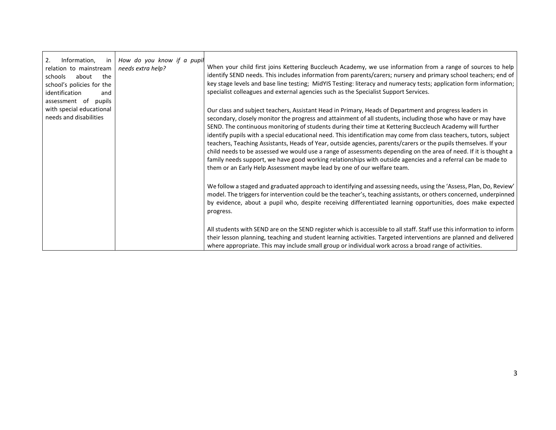| 2.<br>Information,<br>in<br>relation to mainstream<br>the<br>schools<br>about<br>school's policies for the<br>identification<br>and<br>assessment of<br>pupils | How do you know if a pupil<br>needs extra help? | When your child first joins Kettering Buccleuch Academy, we use information from a range of sources to help<br>identify SEND needs. This includes information from parents/carers; nursery and primary school teachers; end of<br>key stage levels and base line testing; MidYIS Testing: literacy and numeracy tests; application form information;<br>specialist colleagues and external agencies such as the Specialist Support Services.                                                                                                                                                                                                                                                                                                                                                                                                                                                 |
|----------------------------------------------------------------------------------------------------------------------------------------------------------------|-------------------------------------------------|----------------------------------------------------------------------------------------------------------------------------------------------------------------------------------------------------------------------------------------------------------------------------------------------------------------------------------------------------------------------------------------------------------------------------------------------------------------------------------------------------------------------------------------------------------------------------------------------------------------------------------------------------------------------------------------------------------------------------------------------------------------------------------------------------------------------------------------------------------------------------------------------|
| with special educational<br>needs and disabilities                                                                                                             |                                                 | Our class and subject teachers, Assistant Head in Primary, Heads of Department and progress leaders in<br>secondary, closely monitor the progress and attainment of all students, including those who have or may have<br>SEND. The continuous monitoring of students during their time at Kettering Buccleuch Academy will further<br>identify pupils with a special educational need. This identification may come from class teachers, tutors, subject<br>teachers, Teaching Assistants, Heads of Year, outside agencies, parents/carers or the pupils themselves. If your<br>child needs to be assessed we would use a range of assessments depending on the area of need. If it is thought a<br>family needs support, we have good working relationships with outside agencies and a referral can be made to<br>them or an Early Help Assessment maybe lead by one of our welfare team. |
|                                                                                                                                                                |                                                 | We follow a staged and graduated approach to identifying and assessing needs, using the 'Assess, Plan, Do, Review'<br>model. The triggers for intervention could be the teacher's, teaching assistants, or others concerned, underpinned<br>by evidence, about a pupil who, despite receiving differentiated learning opportunities, does make expected<br>progress.                                                                                                                                                                                                                                                                                                                                                                                                                                                                                                                         |
|                                                                                                                                                                |                                                 | All students with SEND are on the SEND register which is accessible to all staff. Staff use this information to inform<br>their lesson planning, teaching and student learning activities. Targeted interventions are planned and delivered<br>where appropriate. This may include small group or individual work across a broad range of activities.                                                                                                                                                                                                                                                                                                                                                                                                                                                                                                                                        |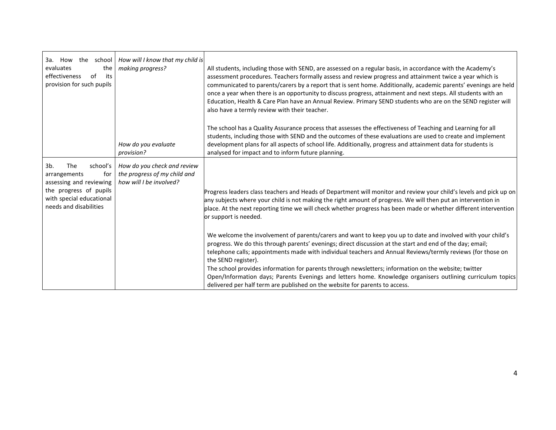| 3a. How<br>the school<br>evaluates<br>the<br>effectiveness<br>of<br>its<br>provision for such pupils                                                     | How will I know that my child is<br>making progress?                                   | All students, including those with SEND, are assessed on a regular basis, in accordance with the Academy's<br>assessment procedures. Teachers formally assess and review progress and attainment twice a year which is<br>communicated to parents/carers by a report that is sent home. Additionally, academic parents' evenings are held<br>once a year when there is an opportunity to discuss progress, attainment and next steps. All students with an<br>Education, Health & Care Plan have an Annual Review. Primary SEND students who are on the SEND register will<br>also have a termly review with their teacher.                                         |
|----------------------------------------------------------------------------------------------------------------------------------------------------------|----------------------------------------------------------------------------------------|---------------------------------------------------------------------------------------------------------------------------------------------------------------------------------------------------------------------------------------------------------------------------------------------------------------------------------------------------------------------------------------------------------------------------------------------------------------------------------------------------------------------------------------------------------------------------------------------------------------------------------------------------------------------|
|                                                                                                                                                          | How do you evaluate<br>provision?                                                      | The school has a Quality Assurance process that assesses the effectiveness of Teaching and Learning for all<br>students, including those with SEND and the outcomes of these evaluations are used to create and implement<br>development plans for all aspects of school life. Additionally, progress and attainment data for students is<br>analysed for impact and to inform future planning.                                                                                                                                                                                                                                                                     |
| 3b.<br>The<br>school's<br>arrangements<br>for<br>assessing and reviewing<br>the progress of pupils<br>with special educational<br>needs and disabilities | How do you check and review<br>the progress of my child and<br>how will I be involved? | Progress leaders class teachers and Heads of Department will monitor and review your child's levels and pick up on<br>any subjects where your child is not making the right amount of progress. We will then put an intervention in<br>place. At the next reporting time we will check whether progress has been made or whether different intervention<br>or support is needed.                                                                                                                                                                                                                                                                                    |
|                                                                                                                                                          |                                                                                        | We welcome the involvement of parents/carers and want to keep you up to date and involved with your child's<br>progress. We do this through parents' evenings; direct discussion at the start and end of the day; email;<br>telephone calls; appointments made with individual teachers and Annual Reviews/termly reviews (for those on<br>the SEND register).<br>The school provides information for parents through newsletters; information on the website; twitter<br>Open/Information days; Parents Evenings and letters home. Knowledge organisers outlining curriculum topics<br>delivered per half term are published on the website for parents to access. |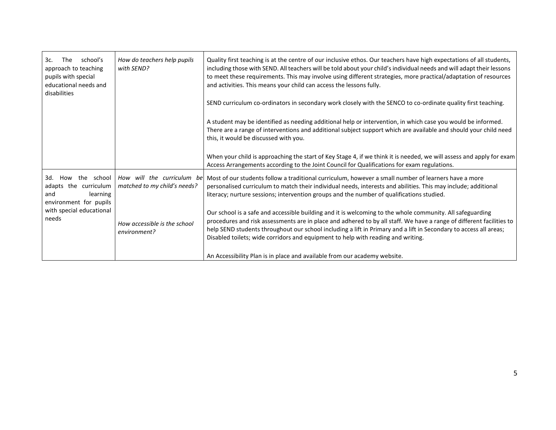| school's<br>3с.<br><b>The</b><br>approach to teaching<br>pupils with special<br>educational needs and<br>disabilities               | How do teachers help pupils<br>with SEND?                   | Quality first teaching is at the centre of our inclusive ethos. Our teachers have high expectations of all students,<br>including those with SEND. All teachers will be told about your child's individual needs and will adapt their lessons<br>to meet these requirements. This may involve using different strategies, more practical/adaptation of resources<br>and activities. This means your child can access the lessons fully.    |
|-------------------------------------------------------------------------------------------------------------------------------------|-------------------------------------------------------------|--------------------------------------------------------------------------------------------------------------------------------------------------------------------------------------------------------------------------------------------------------------------------------------------------------------------------------------------------------------------------------------------------------------------------------------------|
|                                                                                                                                     |                                                             | SEND curriculum co-ordinators in secondary work closely with the SENCO to co-ordinate quality first teaching.                                                                                                                                                                                                                                                                                                                              |
|                                                                                                                                     |                                                             | A student may be identified as needing additional help or intervention, in which case you would be informed.<br>There are a range of interventions and additional subject support which are available and should your child need<br>this, it would be discussed with you.                                                                                                                                                                  |
|                                                                                                                                     |                                                             | When your child is approaching the start of Key Stage 4, if we think it is needed, we will assess and apply for exam<br>Access Arrangements according to the Joint Council for Qualifications for exam regulations.                                                                                                                                                                                                                        |
| the school<br>3d.<br>How<br>adapts the curriculum<br>and<br>learning<br>environment for pupils<br>with special educational<br>needs | How will the curriculum bel<br>matched to my child's needs? | Most of our students follow a traditional curriculum, however a small number of learners have a more<br>personalised curriculum to match their individual needs, interests and abilities. This may include; additional<br>literacy; nurture sessions; intervention groups and the number of qualifications studied.                                                                                                                        |
|                                                                                                                                     | How accessible is the school<br>environment?                | Our school is a safe and accessible building and it is welcoming to the whole community. All safeguarding<br>procedures and risk assessments are in place and adhered to by all staff. We have a range of different facilities to<br>help SEND students throughout our school including a lift in Primary and a lift in Secondary to access all areas;<br>Disabled toilets; wide corridors and equipment to help with reading and writing. |
|                                                                                                                                     |                                                             | An Accessibility Plan is in place and available from our academy website.                                                                                                                                                                                                                                                                                                                                                                  |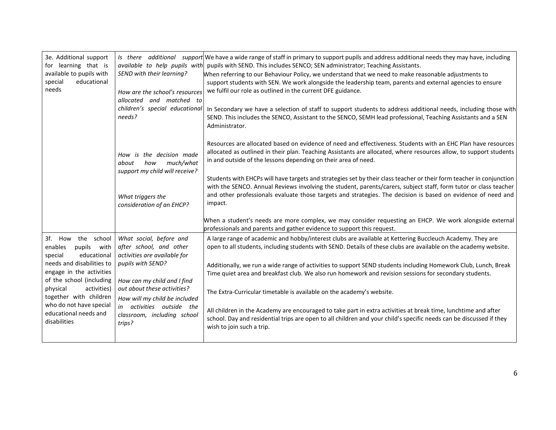| 3e. Additional support<br>for learning that is<br>available to pupils with<br>special<br>educational<br>needs                                                                                                                                                                              | SEND with their learning?<br>How are the school's resources<br>allocated<br>and matched to<br>children's special educational<br>needs?    | Is there additional support We have a wide range of staff in primary to support pupils and address additional needs they may have, including<br>available to help pupils with pupils with SEND. This includes SENCO; SEN administrator; Teaching Assistants.<br>When referring to our Behaviour Policy, we understand that we need to make reasonable adjustments to<br>support students with SEN. We work alongside the leadership team, parents and external agencies to ensure<br>we fulfil our role as outlined in the current DFE guidance.<br>In Secondary we have a selection of staff to support students to address additional needs, including those with<br>SEND. This includes the SENCO, Assistant to the SENCO, SEMH lead professional, Teaching Assistants and a SEN<br>Administrator. |
|--------------------------------------------------------------------------------------------------------------------------------------------------------------------------------------------------------------------------------------------------------------------------------------------|-------------------------------------------------------------------------------------------------------------------------------------------|-------------------------------------------------------------------------------------------------------------------------------------------------------------------------------------------------------------------------------------------------------------------------------------------------------------------------------------------------------------------------------------------------------------------------------------------------------------------------------------------------------------------------------------------------------------------------------------------------------------------------------------------------------------------------------------------------------------------------------------------------------------------------------------------------------|
|                                                                                                                                                                                                                                                                                            | How is the decision made<br>much/what<br>how<br>about<br>support my child will receive?<br>What triggers the<br>consideration of an EHCP? | Resources are allocated based on evidence of need and effectiveness. Students with an EHC Plan have resources<br>allocated as outlined in their plan. Teaching Assistants are allocated, where resources allow, to support students<br>in and outside of the lessons depending on their area of need.<br>Students with EHCPs will have targets and strategies set by their class teacher or their form teacher in conjunction<br>with the SENCO. Annual Reviews involving the student, parents/carers, subject staff, form tutor or class teacher<br>and other professionals evaluate those targets and strategies. The decision is based on evidence of need and<br>impact.                                                                                                                          |
|                                                                                                                                                                                                                                                                                            |                                                                                                                                           | When a student's needs are more complex, we may consider requesting an EHCP. We work alongside external<br>professionals and parents and gather evidence to support this request.                                                                                                                                                                                                                                                                                                                                                                                                                                                                                                                                                                                                                     |
| 3f. How the school<br>pupils with<br>enables<br>educational<br>special<br>needs and disabilities to<br>engage in the activities<br>of the school (including<br>activities)<br>physical<br>together with children<br>who do not have special<br>in<br>educational needs and<br>disabilities | What social, before and<br>after school, and other<br>activities are available for<br>pupils with SEND?                                   | A large range of academic and hobby/interest clubs are available at Kettering Buccleuch Academy. They are<br>open to all students, including students with SEND. Details of these clubs are available on the academy website.<br>Additionally, we run a wide range of activities to support SEND students including Homework Club, Lunch, Break                                                                                                                                                                                                                                                                                                                                                                                                                                                       |
|                                                                                                                                                                                                                                                                                            | How can my child and I find                                                                                                               | Time quiet area and breakfast club. We also run homework and revision sessions for secondary students.                                                                                                                                                                                                                                                                                                                                                                                                                                                                                                                                                                                                                                                                                                |
|                                                                                                                                                                                                                                                                                            | out about these activities?<br>How will my child be included                                                                              | The Extra-Curricular timetable is available on the academy's website.                                                                                                                                                                                                                                                                                                                                                                                                                                                                                                                                                                                                                                                                                                                                 |
|                                                                                                                                                                                                                                                                                            | activities outside the<br>classroom, including school<br>trips?                                                                           | All children in the Academy are encouraged to take part in extra activities at break time, lunchtime and after<br>school. Day and residential trips are open to all children and your child's specific needs can be discussed if they<br>wish to join such a trip.                                                                                                                                                                                                                                                                                                                                                                                                                                                                                                                                    |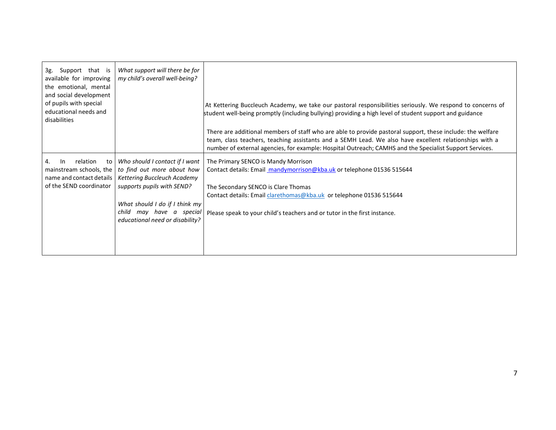| 3g. Support that is<br>available for improving<br>the emotional, mental<br>and social development<br>of pupils with special<br>educational needs and<br>disabilities | What support will there be for<br>my child's overall well-being?                                                                                                                                                              | At Kettering Buccleuch Academy, we take our pastoral responsibilities seriously. We respond to concerns of<br>student well-being promptly (including bullying) providing a high level of student support and guidance<br>There are additional members of staff who are able to provide pastoral support, these include: the welfare<br>team, class teachers, teaching assistants and a SEMH Lead. We also have excellent relationships with a<br>number of external agencies, for example: Hospital Outreach; CAMHS and the Specialist Support Services. |
|----------------------------------------------------------------------------------------------------------------------------------------------------------------------|-------------------------------------------------------------------------------------------------------------------------------------------------------------------------------------------------------------------------------|----------------------------------------------------------------------------------------------------------------------------------------------------------------------------------------------------------------------------------------------------------------------------------------------------------------------------------------------------------------------------------------------------------------------------------------------------------------------------------------------------------------------------------------------------------|
| relation<br>$\ln$<br>to<br>4.<br>mainstream schools, the<br>name and contact details<br>of the SEND coordinator                                                      | Who should I contact if I want<br>to find out more about how<br>Kettering Buccleuch Academy<br>supports pupils with SEND?<br>What should I do if I think my<br>child<br>may have a special<br>educational need or disability? | The Primary SENCO is Mandy Morrison<br>Contact details: Email mandymorrison@kba.uk or telephone 01536 515644<br>The Secondary SENCO is Clare Thomas<br>Contact details: Email clarethomas@kba.uk or telephone 01536 515644<br>Please speak to your child's teachers and or tutor in the first instance.                                                                                                                                                                                                                                                  |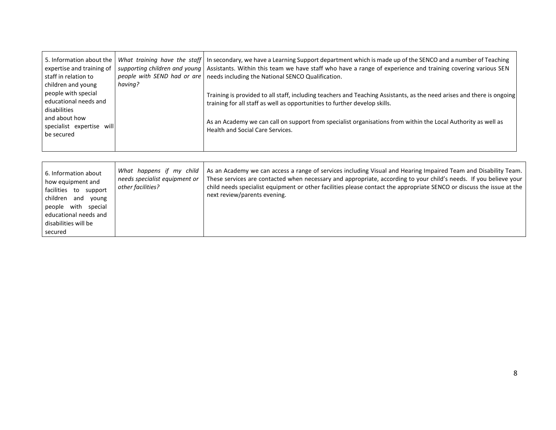| 5. Information about the<br>expertise and training of<br>staff in relation to<br>children and young | supporting children and young<br>having? | What training have the staff $\vert$ In secondary, we have a Learning Support department which is made up of the SENCO and a number of Teaching<br>Assistants. Within this team we have staff who have a range of experience and training covering various SEN<br>people with SEND had or are   needs including the National SENCO Qualification. |
|-----------------------------------------------------------------------------------------------------|------------------------------------------|---------------------------------------------------------------------------------------------------------------------------------------------------------------------------------------------------------------------------------------------------------------------------------------------------------------------------------------------------|
| people with special<br>educational needs and<br>disabilities                                        |                                          | Training is provided to all staff, including teachers and Teaching Assistants, as the need arises and there is ongoing<br>training for all staff as well as opportunities to further develop skills.                                                                                                                                              |
| and about how<br>specialist expertise will<br>be secured                                            |                                          | As an Academy we can call on support from specialist organisations from within the Local Authority as well as<br><b>Health and Social Care Services.</b>                                                                                                                                                                                          |
|                                                                                                     |                                          |                                                                                                                                                                                                                                                                                                                                                   |

| 6. Information about<br>how equipment and<br>facilities to<br>support<br>children<br>and<br>young<br>people with special<br>educational needs and<br>disabilities will be<br>secured | What happens if my child<br>needs specialist equipment or<br>other facilities? | As an Academy we can access a range of services including Visual and Hearing Impaired Team and Disability Team.<br>These services are contacted when necessary and appropriate, according to your child's needs. If you believe your<br>child needs specialist equipment or other facilities please contact the appropriate SENCO or discuss the issue at the<br>next review/parents evening. |
|--------------------------------------------------------------------------------------------------------------------------------------------------------------------------------------|--------------------------------------------------------------------------------|-----------------------------------------------------------------------------------------------------------------------------------------------------------------------------------------------------------------------------------------------------------------------------------------------------------------------------------------------------------------------------------------------|
|--------------------------------------------------------------------------------------------------------------------------------------------------------------------------------------|--------------------------------------------------------------------------------|-----------------------------------------------------------------------------------------------------------------------------------------------------------------------------------------------------------------------------------------------------------------------------------------------------------------------------------------------------------------------------------------------|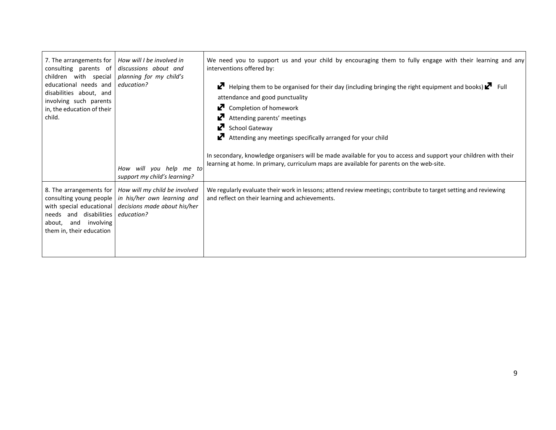| 7. The arrangements for<br>consulting parents of<br>children with special<br>educational needs and<br>disabilities about, and<br>involving such parents<br>in, the education of their<br>child. | How will I be involved in<br>discussions about and<br>planning for my child's<br>education?<br>How will you help me to<br>support my child's learning? | We need you to support us and your child by encouraging them to fully engage with their learning and any<br>interventions offered by:<br>Helping them to be organised for their day (including bringing the right equipment and books) $\mathbb{Z}$ Full<br>K.<br>attendance and good punctuality<br>Completion of homework<br>Ŋ.<br>Attending parents' meetings<br>Ŋ.<br>School Gateway<br>Ø<br>Attending any meetings specifically arranged for your child<br>In secondary, knowledge organisers will be made available for you to access and support your children with their<br>learning at home. In primary, curriculum maps are available for parents on the web-site. |
|-------------------------------------------------------------------------------------------------------------------------------------------------------------------------------------------------|--------------------------------------------------------------------------------------------------------------------------------------------------------|------------------------------------------------------------------------------------------------------------------------------------------------------------------------------------------------------------------------------------------------------------------------------------------------------------------------------------------------------------------------------------------------------------------------------------------------------------------------------------------------------------------------------------------------------------------------------------------------------------------------------------------------------------------------------|
| 8. The arrangements for<br>consulting young people<br>with special educational<br>needs and disabilities<br>involving<br>about,<br>and<br>them in, their education                              | How will my child be involved<br>in his/her own learning and<br>decisions made about his/her<br>education?                                             | We regularly evaluate their work in lessons; attend review meetings; contribute to target setting and reviewing<br>and reflect on their learning and achievements.                                                                                                                                                                                                                                                                                                                                                                                                                                                                                                           |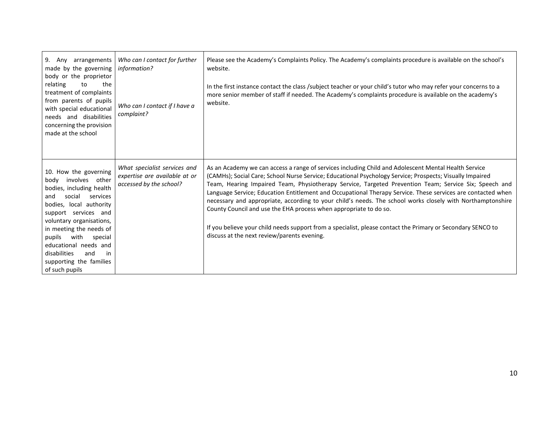| $9.$ Any<br>arrangements<br>made by the governing<br>body or the proprietor<br>relating<br>the<br>to<br>treatment of complaints<br>from parents of pupils<br>with special educational<br>needs and disabilities<br>concerning the provision<br>made at the school                                                                                | Who can I contact for further<br>information?<br>Who can I contact if I have a<br>complaint? | Please see the Academy's Complaints Policy. The Academy's complaints procedure is available on the school's<br>website.<br>In the first instance contact the class /subject teacher or your child's tutor who may refer your concerns to a<br>more senior member of staff if needed. The Academy's complaints procedure is available on the academy's<br>website.                                                                                                                                                                                                                                                                                                                                                                                                                         |
|--------------------------------------------------------------------------------------------------------------------------------------------------------------------------------------------------------------------------------------------------------------------------------------------------------------------------------------------------|----------------------------------------------------------------------------------------------|-------------------------------------------------------------------------------------------------------------------------------------------------------------------------------------------------------------------------------------------------------------------------------------------------------------------------------------------------------------------------------------------------------------------------------------------------------------------------------------------------------------------------------------------------------------------------------------------------------------------------------------------------------------------------------------------------------------------------------------------------------------------------------------------|
| 10. How the governing<br>body involves other<br>bodies, including health<br>social<br>and<br>services<br>bodies, local authority<br>support services and<br>voluntary organisations,<br>in meeting the needs of<br>pupils<br>with<br>special<br>educational needs and<br>disabilities<br>and<br>.in<br>supporting the families<br>of such pupils | What specialist services and<br>expertise are available at or<br>accessed by the school?     | As an Academy we can access a range of services including Child and Adolescent Mental Health Service<br>(CAMHs); Social Care; School Nurse Service; Educational Psychology Service; Prospects; Visually Impaired<br>Team, Hearing Impaired Team, Physiotherapy Service, Targeted Prevention Team; Service Six; Speech and<br>Language Service; Education Entitlement and Occupational Therapy Service. These services are contacted when<br>necessary and appropriate, according to your child's needs. The school works closely with Northamptonshire<br>County Council and use the EHA process when appropriate to do so.<br>If you believe your child needs support from a specialist, please contact the Primary or Secondary SENCO to<br>discuss at the next review/parents evening. |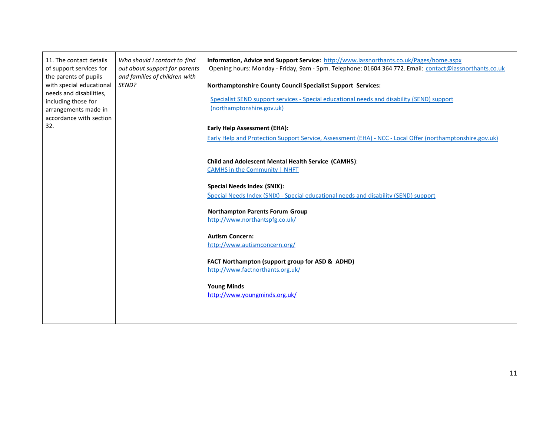| 11. The contact details<br>of support services for<br>the parents of pupils<br>with special educational<br>needs and disabilities,<br>including those for<br>arrangements made in<br>accordance with section<br>32. | Who should I contact to find<br>out about support for parents<br>and families of children with<br>SEND? | Information, Advice and Support Service: http://www.iassnorthants.co.uk/Pages/home.aspx<br>Opening hours: Monday - Friday, 9am - 5pm. Telephone: 01604 364 772. Email: contact@iassnorthants.co.uk<br><b>Northamptonshire County Council Specialist Support Services:</b><br>Specialist SEND support services - Special educational needs and disability (SEND) support<br>(northamptonshire.gov.uk)<br><b>Early Help Assessment (EHA):</b><br>Early Help and Protection Support Service, Assessment (EHA) - NCC - Local Offer (northamptonshire.gov.uk) |
|---------------------------------------------------------------------------------------------------------------------------------------------------------------------------------------------------------------------|---------------------------------------------------------------------------------------------------------|----------------------------------------------------------------------------------------------------------------------------------------------------------------------------------------------------------------------------------------------------------------------------------------------------------------------------------------------------------------------------------------------------------------------------------------------------------------------------------------------------------------------------------------------------------|
|                                                                                                                                                                                                                     |                                                                                                         | <b>Child and Adolescent Mental Health Service (CAMHS):</b><br><b>CAMHS</b> in the Community   NHFT<br><b>Special Needs Index (SNIX):</b><br>Special Needs Index (SNIX) - Special educational needs and disability (SEND) support<br><b>Northampton Parents Forum Group</b>                                                                                                                                                                                                                                                                               |
|                                                                                                                                                                                                                     |                                                                                                         | http://www.northantspfg.co.uk/<br><b>Autism Concern:</b><br>http://www.autismconcern.org/<br>FACT Northampton (support group for ASD & ADHD)<br>http://www.factnorthants.org.uk/<br><b>Young Minds</b><br>http://www.youngminds.org.uk/                                                                                                                                                                                                                                                                                                                  |